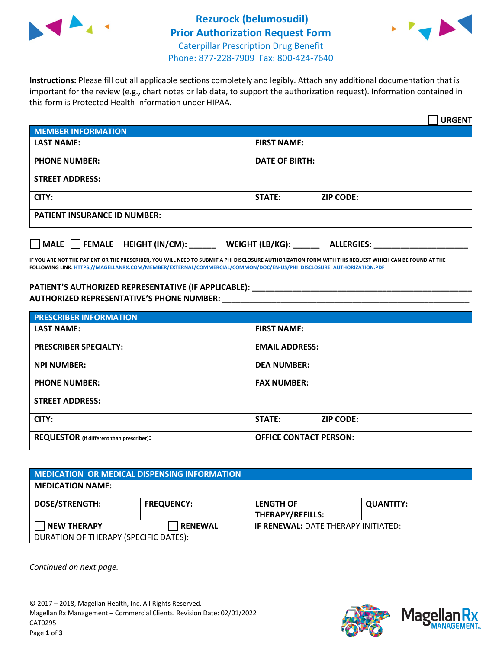



**Instructions:** Please fill out all applicable sections completely and legibly. Attach any additional documentation that is important for the review (e.g., chart notes or lab data, to support the authorization request). Information contained in this form is Protected Health Information under HIPAA.

|                                       | <b>URGENT</b>                        |  |
|---------------------------------------|--------------------------------------|--|
| <b>MEMBER INFORMATION</b>             |                                      |  |
| <b>LAST NAME:</b>                     | <b>FIRST NAME:</b>                   |  |
| <b>PHONE NUMBER:</b>                  | <b>DATE OF BIRTH:</b>                |  |
| <b>STREET ADDRESS:</b>                |                                      |  |
| CITY:                                 | <b>ZIP CODE:</b><br>STATE:           |  |
| <b>PATIENT INSURANCE ID NUMBER:</b>   |                                      |  |
| FEMALE HEIGHT (IN/CM):<br><b>MALE</b> | WEIGHT (LB/KG):<br><b>ALLERGIES:</b> |  |

**IF YOU ARE NOT THE PATIENT OR THE PRESCRIBER, YOU WILL NEED TO SUBMIT A PHI DISCLOSURE AUTHORIZATION FORM WITH THIS REQUEST WHICH CAN BE FOUND AT THE FOLLOWING LINK[: HTTPS://MAGELLANRX.COM/MEMBER/EXTERNAL/COMMERCIAL/COMMON/DOC/EN-US/PHI\\_DISCLOSURE\\_AUTHORIZATION.PDF](https://magellanrx.com/member/external/commercial/common/doc/en-us/PHI_Disclosure_Authorization.pdf)**

**PATIENT'S AUTHORIZED REPRESENTATIVE (IF APPLICABLE): \_\_\_\_\_\_\_\_\_\_\_\_\_\_\_\_\_\_\_\_\_\_\_\_\_\_\_\_\_\_\_\_\_\_\_\_\_\_\_\_\_\_\_\_\_\_\_\_\_ AUTHORIZED REPRESENTATIVE'S PHONE NUMBER:** \_\_\_\_\_\_\_\_\_\_\_\_\_\_\_\_\_\_\_\_\_\_\_\_\_\_\_\_\_\_\_\_\_\_\_\_\_\_\_\_\_\_\_\_\_\_\_\_\_\_\_\_\_\_\_

| <b>PRESCRIBER INFORMATION</b>             |                               |  |  |  |
|-------------------------------------------|-------------------------------|--|--|--|
| <b>LAST NAME:</b>                         | <b>FIRST NAME:</b>            |  |  |  |
| <b>PRESCRIBER SPECIALTY:</b>              | <b>EMAIL ADDRESS:</b>         |  |  |  |
| <b>NPI NUMBER:</b>                        | <b>DEA NUMBER:</b>            |  |  |  |
| <b>PHONE NUMBER:</b>                      | <b>FAX NUMBER:</b>            |  |  |  |
| <b>STREET ADDRESS:</b>                    |                               |  |  |  |
| CITY:                                     | STATE:<br><b>ZIP CODE:</b>    |  |  |  |
| REQUESTOR (if different than prescriber): | <b>OFFICE CONTACT PERSON:</b> |  |  |  |

| <b>MEDICATION OR MEDICAL DISPENSING INFORMATION</b> |                   |                                            |                  |  |  |
|-----------------------------------------------------|-------------------|--------------------------------------------|------------------|--|--|
| <b>MEDICATION NAME:</b>                             |                   |                                            |                  |  |  |
| <b>DOSE/STRENGTH:</b>                               | <b>FREQUENCY:</b> | <b>LENGTH OF</b>                           | <b>QUANTITY:</b> |  |  |
|                                                     |                   | <b>THERAPY/REFILLS:</b>                    |                  |  |  |
| <b>NEW THERAPY</b>                                  | <b>RENEWAL</b>    | <b>IF RENEWAL: DATE THERAPY INITIATED:</b> |                  |  |  |
| DURATION OF THERAPY (SPECIFIC DATES):               |                   |                                            |                  |  |  |

*Continued on next page.*



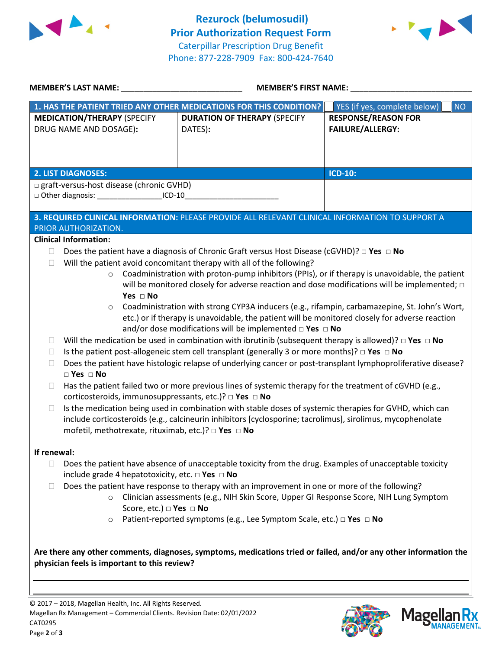



| <b>MEMBER'S LAST NAME:</b> NAME                                                                                                                                                                                               | <b>MEMBER'S FIRST NAME:</b> ______________                                                                                                                                                                                                                                                                                                                                                                                                                                                                                                                                                                                                                                                                                                                                                                                                                                                                                                                                                                                                                  |                                                       |
|-------------------------------------------------------------------------------------------------------------------------------------------------------------------------------------------------------------------------------|-------------------------------------------------------------------------------------------------------------------------------------------------------------------------------------------------------------------------------------------------------------------------------------------------------------------------------------------------------------------------------------------------------------------------------------------------------------------------------------------------------------------------------------------------------------------------------------------------------------------------------------------------------------------------------------------------------------------------------------------------------------------------------------------------------------------------------------------------------------------------------------------------------------------------------------------------------------------------------------------------------------------------------------------------------------|-------------------------------------------------------|
|                                                                                                                                                                                                                               | 1. HAS THE PATIENT TRIED ANY OTHER MEDICATIONS FOR THIS CONDITION?                                                                                                                                                                                                                                                                                                                                                                                                                                                                                                                                                                                                                                                                                                                                                                                                                                                                                                                                                                                          | YES (if yes, complete below)<br><b>NO</b>             |
| <b>MEDICATION/THERAPY (SPECIFY</b><br>DRUG NAME AND DOSAGE):                                                                                                                                                                  | <b>DURATION OF THERAPY (SPECIFY</b><br>DATES):                                                                                                                                                                                                                                                                                                                                                                                                                                                                                                                                                                                                                                                                                                                                                                                                                                                                                                                                                                                                              | <b>RESPONSE/REASON FOR</b><br><b>FAILURE/ALLERGY:</b> |
|                                                                                                                                                                                                                               |                                                                                                                                                                                                                                                                                                                                                                                                                                                                                                                                                                                                                                                                                                                                                                                                                                                                                                                                                                                                                                                             |                                                       |
| <b>2. LIST DIAGNOSES:</b><br>□ graft-versus-host disease (chronic GVHD)                                                                                                                                                       |                                                                                                                                                                                                                                                                                                                                                                                                                                                                                                                                                                                                                                                                                                                                                                                                                                                                                                                                                                                                                                                             | <b>ICD-10:</b>                                        |
| □ Other diagnosis: ____________________ICD-10__________________________________                                                                                                                                               |                                                                                                                                                                                                                                                                                                                                                                                                                                                                                                                                                                                                                                                                                                                                                                                                                                                                                                                                                                                                                                                             |                                                       |
|                                                                                                                                                                                                                               |                                                                                                                                                                                                                                                                                                                                                                                                                                                                                                                                                                                                                                                                                                                                                                                                                                                                                                                                                                                                                                                             |                                                       |
| PRIOR AUTHORIZATION.                                                                                                                                                                                                          | 3. REQUIRED CLINICAL INFORMATION: PLEASE PROVIDE ALL RELEVANT CLINICAL INFORMATION TO SUPPORT A                                                                                                                                                                                                                                                                                                                                                                                                                                                                                                                                                                                                                                                                                                                                                                                                                                                                                                                                                             |                                                       |
| <b>Clinical Information:</b>                                                                                                                                                                                                  |                                                                                                                                                                                                                                                                                                                                                                                                                                                                                                                                                                                                                                                                                                                                                                                                                                                                                                                                                                                                                                                             |                                                       |
| Yes $\Box$ No<br>$\circ$<br>u<br>$\Box$<br>$\Box$<br>$\Box$ Yes $\Box$ No<br>$\Box$<br>corticosteroids, immunosuppressants, etc.)? □ Yes □ No<br>$\Box$<br>mofetil, methotrexate, rituximab, etc.)? □ Yes □ No<br>If renewal: | will be monitored closely for adverse reaction and dose modifications will be implemented; $\Box$<br>Coadministration with strong CYP3A inducers (e.g., rifampin, carbamazepine, St. John's Wort,<br>etc.) or if therapy is unavoidable, the patient will be monitored closely for adverse reaction<br>and/or dose modifications will be implemented $\Box$ Yes $\Box$ No<br>Will the medication be used in combination with ibrutinib (subsequent therapy is allowed)? $\Box$ Yes $\Box$ No<br>Is the patient post-allogeneic stem cell transplant (generally 3 or more months)? $\Box$ Yes $\Box$ No<br>Does the patient have histologic relapse of underlying cancer or post-transplant lymphoproliferative disease?<br>Has the patient failed two or more previous lines of systemic therapy for the treatment of cGVHD (e.g.,<br>Is the medication being used in combination with stable doses of systemic therapies for GVHD, which can<br>include corticosteroids (e.g., calcineurin inhibitors [cyclosporine; tacrolimus], sirolimus, mycophenolate |                                                       |
| $\Box$<br>include grade 4 hepatotoxicity, etc. $\Box$ Yes $\Box$ No<br>$\Box$<br>$\circ$<br>Score, etc.) □ Yes □ No<br>$\circ$                                                                                                | Does the patient have absence of unacceptable toxicity from the drug. Examples of unacceptable toxicity<br>Does the patient have response to therapy with an improvement in one or more of the following?<br>Clinician assessments (e.g., NIH Skin Score, Upper GI Response Score, NIH Lung Symptom<br>Patient-reported symptoms (e.g., Lee Symptom Scale, etc.) $\Box$ Yes $\Box$ No                                                                                                                                                                                                                                                                                                                                                                                                                                                                                                                                                                                                                                                                       |                                                       |
| physician feels is important to this review?                                                                                                                                                                                  | Are there any other comments, diagnoses, symptoms, medications tried or failed, and/or any other information the                                                                                                                                                                                                                                                                                                                                                                                                                                                                                                                                                                                                                                                                                                                                                                                                                                                                                                                                            |                                                       |



**Magella** 

**MANAGE**